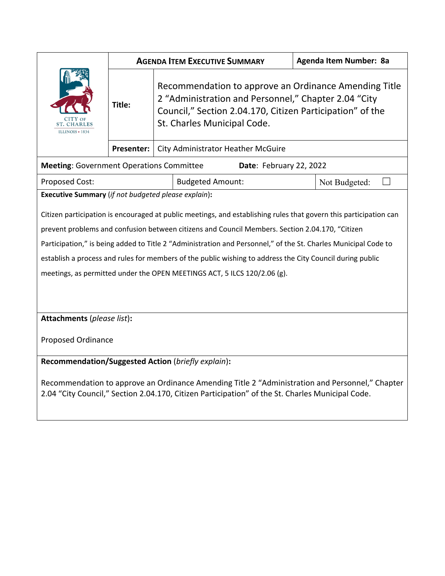|                                                                                                                                                                                                     | <b>AGENDA ITEM EXECUTIVE SUMMARY</b> |                                                                                                                                                                                                           |                                           | Agenda Item Number: 8a |  |               |  |
|-----------------------------------------------------------------------------------------------------------------------------------------------------------------------------------------------------|--------------------------------------|-----------------------------------------------------------------------------------------------------------------------------------------------------------------------------------------------------------|-------------------------------------------|------------------------|--|---------------|--|
| <b>ST. CHARLES</b><br>ILLINOIS + 1834                                                                                                                                                               | Title:                               | Recommendation to approve an Ordinance Amending Title<br>2 "Administration and Personnel," Chapter 2.04 "City<br>Council," Section 2.04.170, Citizen Participation" of the<br>St. Charles Municipal Code. |                                           |                        |  |               |  |
|                                                                                                                                                                                                     | Presenter:                           |                                                                                                                                                                                                           | <b>City Administrator Heather McGuire</b> |                        |  |               |  |
| <b>Meeting: Government Operations Committee</b><br>Date: February 22, 2022                                                                                                                          |                                      |                                                                                                                                                                                                           |                                           |                        |  |               |  |
| <b>Proposed Cost:</b>                                                                                                                                                                               |                                      |                                                                                                                                                                                                           | <b>Budgeted Amount:</b>                   |                        |  | Not Budgeted: |  |
| Executive Summary (if not budgeted please explain):                                                                                                                                                 |                                      |                                                                                                                                                                                                           |                                           |                        |  |               |  |
| Citizen participation is encouraged at public meetings, and establishing rules that govern this participation can                                                                                   |                                      |                                                                                                                                                                                                           |                                           |                        |  |               |  |
| prevent problems and confusion between citizens and Council Members. Section 2.04.170, "Citizen                                                                                                     |                                      |                                                                                                                                                                                                           |                                           |                        |  |               |  |
| Participation," is being added to Title 2 "Administration and Personnel," of the St. Charles Municipal Code to                                                                                      |                                      |                                                                                                                                                                                                           |                                           |                        |  |               |  |
| establish a process and rules for members of the public wishing to address the City Council during public                                                                                           |                                      |                                                                                                                                                                                                           |                                           |                        |  |               |  |
| meetings, as permitted under the OPEN MEETINGS ACT, 5 ILCS 120/2.06 (g).                                                                                                                            |                                      |                                                                                                                                                                                                           |                                           |                        |  |               |  |
|                                                                                                                                                                                                     |                                      |                                                                                                                                                                                                           |                                           |                        |  |               |  |
| Attachments (please list):                                                                                                                                                                          |                                      |                                                                                                                                                                                                           |                                           |                        |  |               |  |
| <b>Proposed Ordinance</b>                                                                                                                                                                           |                                      |                                                                                                                                                                                                           |                                           |                        |  |               |  |
| Recommendation/Suggested Action (briefly explain):                                                                                                                                                  |                                      |                                                                                                                                                                                                           |                                           |                        |  |               |  |
| Recommendation to approve an Ordinance Amending Title 2 "Administration and Personnel," Chapter<br>2.04 "City Council," Section 2.04.170, Citizen Participation" of the St. Charles Municipal Code. |                                      |                                                                                                                                                                                                           |                                           |                        |  |               |  |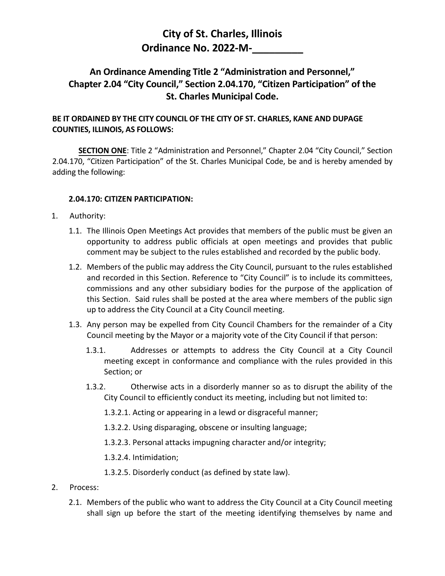## **City of St. Charles, Illinois Ordinance No. 2022-M-\_\_\_\_\_\_\_\_\_**

## **An Ordinance Amending Title 2 "Administration and Personnel," Chapter 2.04 "City Council," Section 2.04.170, "Citizen Participation" of the St. Charles Municipal Code.**

## **BE IT ORDAINED BY THE CITY COUNCIL OF THE CITY OF ST. CHARLES, KANE AND DUPAGE COUNTIES, ILLINOIS, AS FOLLOWS:**

**SECTION ONE**: Title 2 "Administration and Personnel," Chapter 2.04 "City Council," Section 2.04.170, "Citizen Participation" of the St. Charles Municipal Code, be and is hereby amended by adding the following:

## **2.04.170: CITIZEN PARTICIPATION:**

- 1. Authority:
	- 1.1. The Illinois Open Meetings Act provides that members of the public must be given an opportunity to address public officials at open meetings and provides that public comment may be subject to the rules established and recorded by the public body.
	- 1.2. Members of the public may address the City Council, pursuant to the rules established and recorded in this Section. Reference to "City Council" is to include its committees, commissions and any other subsidiary bodies for the purpose of the application of this Section. Said rules shall be posted at the area where members of the public sign up to address the City Council at a City Council meeting.
	- 1.3. Any person may be expelled from City Council Chambers for the remainder of a City Council meeting by the Mayor or a majority vote of the City Council if that person:
		- 1.3.1. Addresses or attempts to address the City Council at a City Council meeting except in conformance and compliance with the rules provided in this Section; or
		- 1.3.2. Otherwise acts in a disorderly manner so as to disrupt the ability of the City Council to efficiently conduct its meeting, including but not limited to:
			- 1.3.2.1. Acting or appearing in a lewd or disgraceful manner;
			- 1.3.2.2. Using disparaging, obscene or insulting language;
			- 1.3.2.3. Personal attacks impugning character and/or integrity;
			- 1.3.2.4. Intimidation;
			- 1.3.2.5. Disorderly conduct (as defined by state law).
- 2. Process:
	- 2.1. Members of the public who want to address the City Council at a City Council meeting shall sign up before the start of the meeting identifying themselves by name and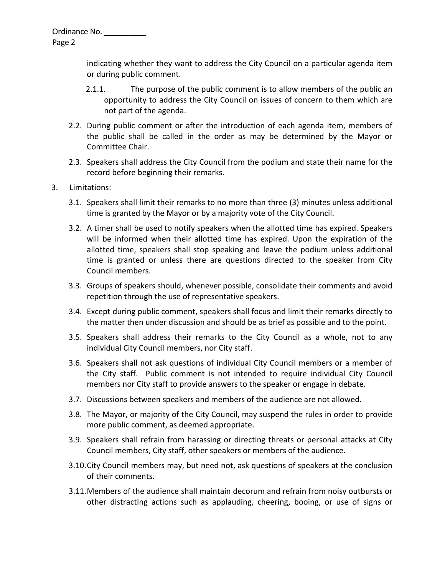Page 2

indicating whether they want to address the City Council on a particular agenda item or during public comment.

- 2.1.1. The purpose of the public comment is to allow members of the public an opportunity to address the City Council on issues of concern to them which are not part of the agenda.
- 2.2. During public comment or after the introduction of each agenda item, members of the public shall be called in the order as may be determined by the Mayor or Committee Chair.
- 2.3. Speakers shall address the City Council from the podium and state their name for the record before beginning their remarks.
- 3. Limitations:
	- 3.1. Speakers shall limit their remarks to no more than three (3) minutes unless additional time is granted by the Mayor or by a majority vote of the City Council.
	- 3.2. A timer shall be used to notify speakers when the allotted time has expired. Speakers will be informed when their allotted time has expired. Upon the expiration of the allotted time, speakers shall stop speaking and leave the podium unless additional time is granted or unless there are questions directed to the speaker from City Council members.
	- 3.3. Groups of speakers should, whenever possible, consolidate their comments and avoid repetition through the use of representative speakers.
	- 3.4. Except during public comment, speakers shall focus and limit their remarks directly to the matter then under discussion and should be as brief as possible and to the point.
	- 3.5. Speakers shall address their remarks to the City Council as a whole, not to any individual City Council members, nor City staff.
	- 3.6. Speakers shall not ask questions of individual City Council members or a member of the City staff. Public comment is not intended to require individual City Council members nor City staff to provide answers to the speaker or engage in debate.
	- 3.7. Discussions between speakers and members of the audience are not allowed.
	- 3.8. The Mayor, or majority of the City Council, may suspend the rules in order to provide more public comment, as deemed appropriate.
	- 3.9. Speakers shall refrain from harassing or directing threats or personal attacks at City Council members, City staff, other speakers or members of the audience.
	- 3.10.City Council members may, but need not, ask questions of speakers at the conclusion of their comments.
	- 3.11.Members of the audience shall maintain decorum and refrain from noisy outbursts or other distracting actions such as applauding, cheering, booing, or use of signs or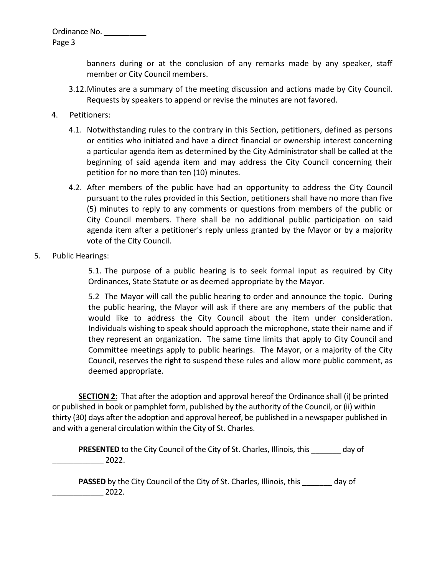Ordinance No. \_\_\_\_\_\_\_\_\_\_\_

Page 3

banners during or at the conclusion of any remarks made by any speaker, staff member or City Council members.

- 3.12.Minutes are a summary of the meeting discussion and actions made by City Council. Requests by speakers to append or revise the minutes are not favored.
- 4. Petitioners:
	- 4.1. Notwithstanding rules to the contrary in this Section, petitioners, defined as persons or entities who initiated and have a direct financial or ownership interest concerning a particular agenda item as determined by the City Administrator shall be called at the beginning of said agenda item and may address the City Council concerning their petition for no more than ten (10) minutes.
	- 4.2. After members of the public have had an opportunity to address the City Council pursuant to the rules provided in this Section, petitioners shall have no more than five (5) minutes to reply to any comments or questions from members of the public or City Council members. There shall be no additional public participation on said agenda item after a petitioner's reply unless granted by the Mayor or by a majority vote of the City Council.
- 5. Public Hearings:

5.1. The purpose of a public hearing is to seek formal input as required by City Ordinances, State Statute or as deemed appropriate by the Mayor.

5.2 The Mayor will call the public hearing to order and announce the topic. During the public hearing, the Mayor will ask if there are any members of the public that would like to address the City Council about the item under consideration. Individuals wishing to speak should approach the microphone, state their name and if they represent an organization. The same time limits that apply to City Council and Committee meetings apply to public hearings. The Mayor, or a majority of the City Council, reserves the right to suspend these rules and allow more public comment, as deemed appropriate.

**SECTION 2:** That after the adoption and approval hereof the Ordinance shall (i) be printed or published in book or pamphlet form, published by the authority of the Council, or (ii) within thirty (30) days after the adoption and approval hereof, be published in a newspaper published in and with a general circulation within the City of St. Charles.

**PRESENTED** to the City Council of the City of St. Charles, Illinois, this day of  $2022.$ 

**PASSED** by the City Council of the City of St. Charles, Illinois, this day of \_\_\_\_\_\_\_\_\_\_\_\_ 2022.